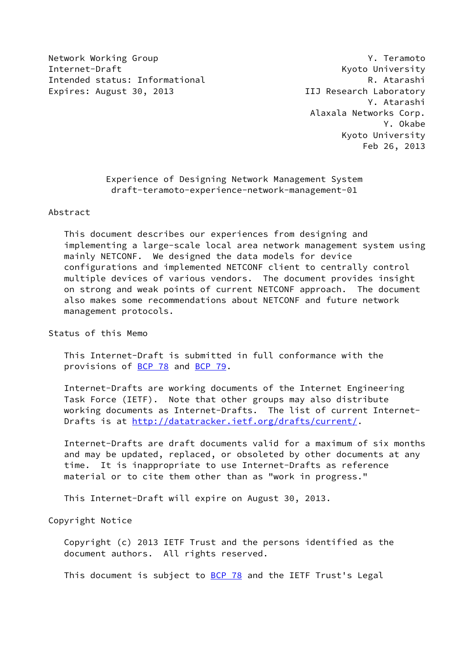Network Working Group **Y. Teamoto** Internet-Draft Kyoto University Intended status: Informational R. Atarashi Expires: August 30, 2013 **IIJ Research Laboratory** 

 Y. Atarashi Alaxala Networks Corp. Y. Okabe Kyoto University Feb 26, 2013

> Experience of Designing Network Management System draft-teramoto-experience-network-management-01

Abstract

 This document describes our experiences from designing and implementing a large-scale local area network management system using mainly NETCONF. We designed the data models for device configurations and implemented NETCONF client to centrally control multiple devices of various vendors. The document provides insight on strong and weak points of current NETCONF approach. The document also makes some recommendations about NETCONF and future network management protocols.

Status of this Memo

 This Internet-Draft is submitted in full conformance with the provisions of [BCP 78](https://datatracker.ietf.org/doc/pdf/bcp78) and [BCP 79](https://datatracker.ietf.org/doc/pdf/bcp79).

 Internet-Drafts are working documents of the Internet Engineering Task Force (IETF). Note that other groups may also distribute working documents as Internet-Drafts. The list of current Internet Drafts is at<http://datatracker.ietf.org/drafts/current/>.

 Internet-Drafts are draft documents valid for a maximum of six months and may be updated, replaced, or obsoleted by other documents at any time. It is inappropriate to use Internet-Drafts as reference material or to cite them other than as "work in progress."

This Internet-Draft will expire on August 30, 2013.

Copyright Notice

 Copyright (c) 2013 IETF Trust and the persons identified as the document authors. All rights reserved.

This document is subject to **[BCP 78](https://datatracker.ietf.org/doc/pdf/bcp78)** and the IETF Trust's Legal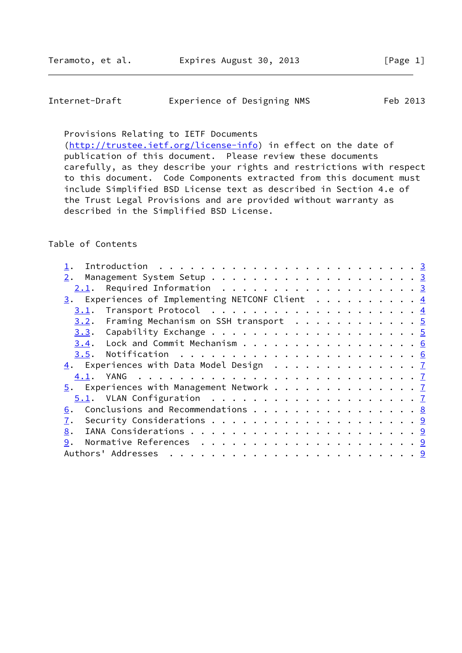| Internet-Draft | Experience of Designing NMS | Feb 2013 |  |
|----------------|-----------------------------|----------|--|
|                |                             |          |  |

Provisions Relating to IETF Documents

[\(http://trustee.ietf.org/license-info](http://trustee.ietf.org/license-info)) in effect on the date of publication of this document. Please review these documents carefully, as they describe your rights and restrictions with respect to this document. Code Components extracted from this document must include Simplified BSD License text as described in Section 4.e of the Trust Legal Provisions and are provided without warranty as described in the Simplified BSD License.

# Table of Contents

| $2.1$ . Required Information 3                               |  |
|--------------------------------------------------------------|--|
| $\frac{3}{2}$ . Experiences of Implementing NETCONF Client 4 |  |
| 3.1.                                                         |  |
| $3.2$ . Framing Mechanism on SSH transport 5                 |  |
|                                                              |  |
| $3.4$ . Lock and Commit Mechanism 6                          |  |
|                                                              |  |
| $\underline{4}$ . Experiences with Data Model Design 7       |  |
|                                                              |  |
| $\frac{5}{2}$ . Experiences with Management Network 7        |  |
|                                                              |  |
| Conclusions and Recommendations 8<br>6.                      |  |
| 7.                                                           |  |
| 8.                                                           |  |
| 9.                                                           |  |
|                                                              |  |
|                                                              |  |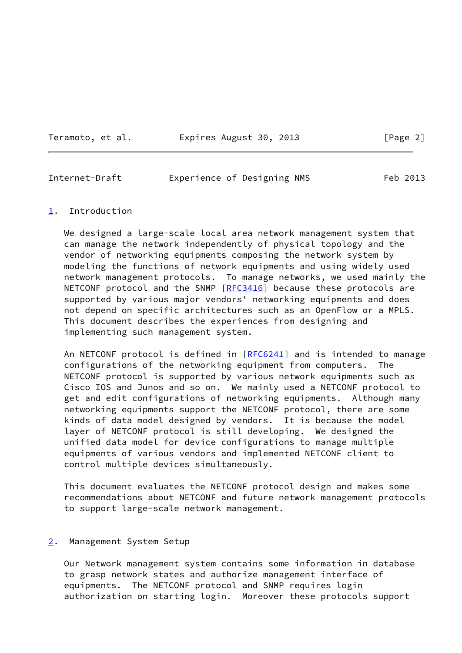Teramoto, et al. 
Expires August 30, 2013

[Page 2]

## <span id="page-2-1"></span>Internet-Draft Experience of Designing NMS Feb 2013

### <span id="page-2-0"></span>[1](#page-2-0). Introduction

We designed a large-scale local area network management system that can manage the network independently of physical topology and the vendor of networking equipments composing the network system by modeling the functions of network equipments and using widely used network management protocols. To manage networks, we used mainly the NETCONF protocol and the SNMP [[RFC3416](https://datatracker.ietf.org/doc/pdf/rfc3416)] because these protocols are supported by various major vendors' networking equipments and does not depend on specific architectures such as an OpenFlow or a MPLS. This document describes the experiences from designing and implementing such management system.

An NETCONF protocol is defined in [[RFC6241](https://datatracker.ietf.org/doc/pdf/rfc6241)] and is intended to manage configurations of the networking equipment from computers. The NETCONF protocol is supported by various network equipments such as Cisco IOS and Junos and so on. We mainly used a NETCONF protocol to get and edit configurations of networking equipments. Although many networking equipments support the NETCONF protocol, there are some kinds of data model designed by vendors. It is because the model layer of NETCONF protocol is still developing. We designed the unified data model for device configurations to manage multiple equipments of various vendors and implemented NETCONF client to control multiple devices simultaneously.

 This document evaluates the NETCONF protocol design and makes some recommendations about NETCONF and future network management protocols to support large-scale network management.

#### <span id="page-2-2"></span>[2](#page-2-2). Management System Setup

 Our Network management system contains some information in database to grasp network states and authorize management interface of equipments. The NETCONF protocol and SNMP requires login authorization on starting login. Moreover these protocols support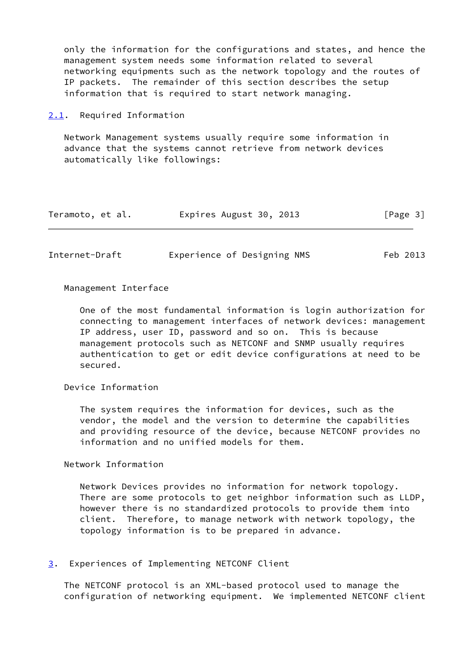only the information for the configurations and states, and hence the management system needs some information related to several networking equipments such as the network topology and the routes of IP packets. The remainder of this section describes the setup information that is required to start network managing.

<span id="page-3-0"></span>[2.1](#page-3-0). Required Information

 Network Management systems usually require some information in advance that the systems cannot retrieve from network devices automatically like followings:

| Teramoto, et al. | Expires August 30, 2013 | [Page 3] |
|------------------|-------------------------|----------|
|------------------|-------------------------|----------|

<span id="page-3-2"></span>

| Internet-Draft | Experience of Designing NMS | Feb 2013 |
|----------------|-----------------------------|----------|
|                |                             |          |

Management Interface

 One of the most fundamental information is login authorization for connecting to management interfaces of network devices: management IP address, user ID, password and so on. This is because management protocols such as NETCONF and SNMP usually requires authentication to get or edit device configurations at need to be secured.

Device Information

 The system requires the information for devices, such as the vendor, the model and the version to determine the capabilities and providing resource of the device, because NETCONF provides no information and no unified models for them.

Network Information

 Network Devices provides no information for network topology. There are some protocols to get neighbor information such as LLDP, however there is no standardized protocols to provide them into client. Therefore, to manage network with network topology, the topology information is to be prepared in advance.

<span id="page-3-1"></span>[3](#page-3-1). Experiences of Implementing NETCONF Client

 The NETCONF protocol is an XML-based protocol used to manage the configuration of networking equipment. We implemented NETCONF client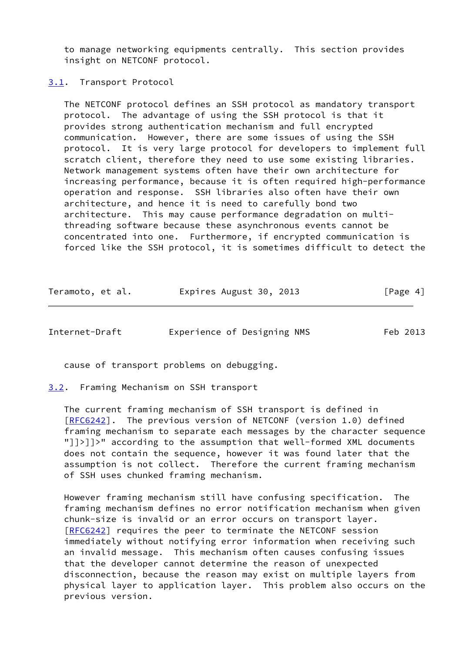to manage networking equipments centrally. This section provides insight on NETCONF protocol.

<span id="page-4-0"></span>[3.1](#page-4-0). Transport Protocol

 The NETCONF protocol defines an SSH protocol as mandatory transport protocol. The advantage of using the SSH protocol is that it provides strong authentication mechanism and full encrypted communication. However, there are some issues of using the SSH protocol. It is very large protocol for developers to implement full scratch client, therefore they need to use some existing libraries. Network management systems often have their own architecture for increasing performance, because it is often required high-performance operation and response. SSH libraries also often have their own architecture, and hence it is need to carefully bond two architecture. This may cause performance degradation on multi threading software because these asynchronous events cannot be concentrated into one. Furthermore, if encrypted communication is forced like the SSH protocol, it is sometimes difficult to detect the

| Teramoto, et al. | Expires August 30, 2013 | [Page 4] |
|------------------|-------------------------|----------|
|------------------|-------------------------|----------|

<span id="page-4-2"></span>Internet-Draft Experience of Designing NMS Feb 2013

cause of transport problems on debugging.

<span id="page-4-1"></span>[3.2](#page-4-1). Framing Mechanism on SSH transport

 The current framing mechanism of SSH transport is defined in [\[RFC6242](https://datatracker.ietf.org/doc/pdf/rfc6242)]. The previous version of NETCONF (version 1.0) defined framing mechanism to separate each messages by the character sequence "]]>]]>" according to the assumption that well-formed XML documents does not contain the sequence, however it was found later that the assumption is not collect. Therefore the current framing mechanism of SSH uses chunked framing mechanism.

 However framing mechanism still have confusing specification. The framing mechanism defines no error notification mechanism when given chunk-size is invalid or an error occurs on transport layer. [\[RFC6242](https://datatracker.ietf.org/doc/pdf/rfc6242)] requires the peer to terminate the NETCONF session immediately without notifying error information when receiving such an invalid message. This mechanism often causes confusing issues that the developer cannot determine the reason of unexpected disconnection, because the reason may exist on multiple layers from physical layer to application layer. This problem also occurs on the previous version.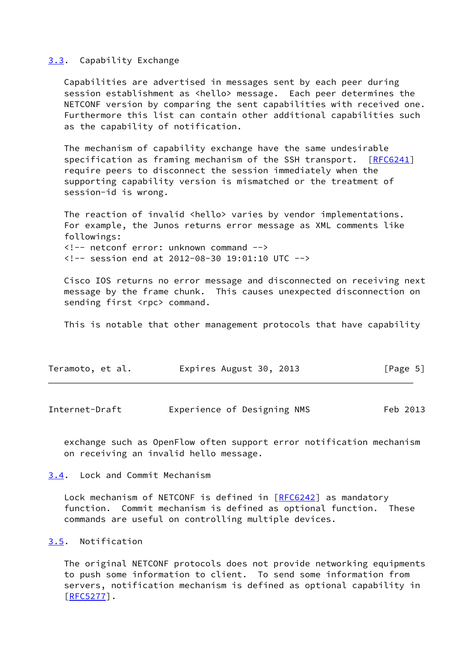#### <span id="page-5-0"></span>[3.3](#page-5-0). Capability Exchange

 Capabilities are advertised in messages sent by each peer during session establishment as <hello> message. Each peer determines the NETCONF version by comparing the sent capabilities with received one. Furthermore this list can contain other additional capabilities such as the capability of notification.

 The mechanism of capability exchange have the same undesirable specification as framing mechanism of the SSH transport. [[RFC6241](https://datatracker.ietf.org/doc/pdf/rfc6241)] require peers to disconnect the session immediately when the supporting capability version is mismatched or the treatment of session-id is wrong.

The reaction of invalid <hello> varies by vendor implementations. For example, the Junos returns error message as XML comments like followings: <!-- netconf error: unknown command --> <!-- session end at 2012-08-30 19:01:10 UTC -->

 Cisco IOS returns no error message and disconnected on receiving next message by the frame chunk. This causes unexpected disconnection on sending first <rpc> command.

This is notable that other management protocols that have capability

| Teramoto, et al. | Expires August 30, 2013 | [Page 5] |
|------------------|-------------------------|----------|
|                  |                         |          |

<span id="page-5-2"></span>

| Internet-Draft |  | Experience of Designing NMS | Feb 2013 |
|----------------|--|-----------------------------|----------|
|----------------|--|-----------------------------|----------|

 exchange such as OpenFlow often support error notification mechanism on receiving an invalid hello message.

## <span id="page-5-1"></span>[3.4](#page-5-1). Lock and Commit Mechanism

Lock mechanism of NETCONF is defined in [\[RFC6242](https://datatracker.ietf.org/doc/pdf/rfc6242)] as mandatory function. Commit mechanism is defined as optional function. These commands are useful on controlling multiple devices.

# <span id="page-5-3"></span>[3.5](#page-5-3). Notification

 The original NETCONF protocols does not provide networking equipments to push some information to client. To send some information from servers, notification mechanism is defined as optional capability in [\[RFC5277](https://datatracker.ietf.org/doc/pdf/rfc5277)].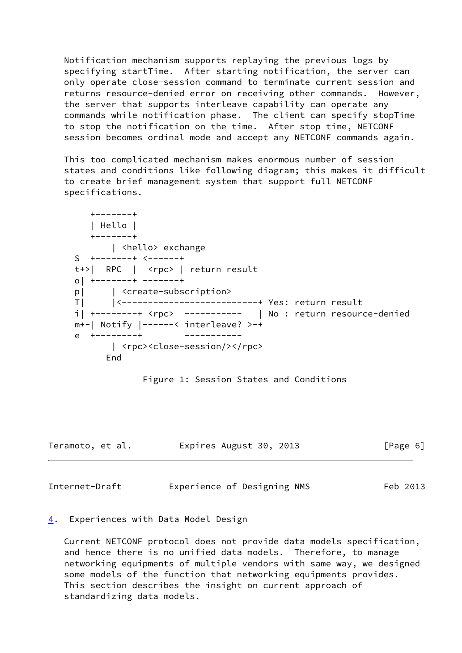Notification mechanism supports replaying the previous logs by specifying startTime. After starting notification, the server can only operate close-session command to terminate current session and returns resource-denied error on receiving other commands. However, the server that supports interleave capability can operate any commands while notification phase. The client can specify stopTime to stop the notification on the time. After stop time, NETCONF session becomes ordinal mode and accept any NETCONF commands again.

 This too complicated mechanism makes enormous number of session states and conditions like following diagram; this makes it difficult to create brief management system that support full NETCONF specifications.

 +-------+ | Hello | +-------+ | <hello> exchange S +-------+ <------+ t+>| RPC | <rpc> | return result o| +-------+ -------+ p| | <create-subscription> T| |<--------------------------+ Yes: return result i| +--------+ <rpc> ----------- | No : return resource-denied m+-| Notify |------< interleave? >-+ e +--------+ ----------- | <rpc><close-session/></rpc> End

Figure 1: Session States and Conditions

| Teramoto, et al. | Expires August 30, 2013 |  | [Page 6] |  |
|------------------|-------------------------|--|----------|--|
|                  |                         |  |          |  |

<span id="page-6-1"></span>Internet-Draft Experience of Designing NMS Feb 2013

## <span id="page-6-0"></span>[4](#page-6-0). Experiences with Data Model Design

 Current NETCONF protocol does not provide data models specification, and hence there is no unified data models. Therefore, to manage networking equipments of multiple vendors with same way, we designed some models of the function that networking equipments provides. This section describes the insight on current approach of standardizing data models.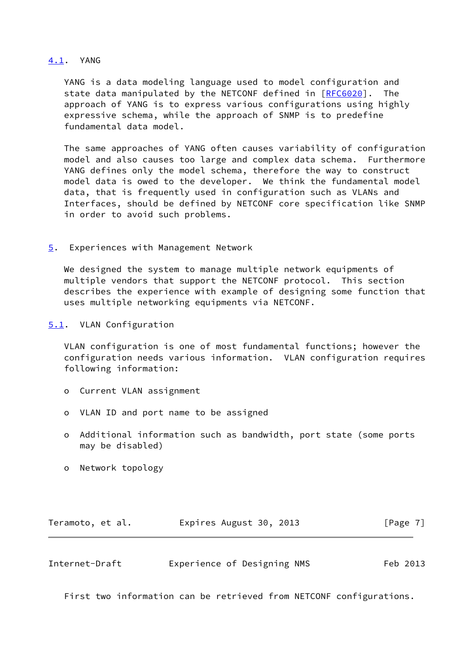## <span id="page-7-0"></span>[4.1](#page-7-0). YANG

 YANG is a data modeling language used to model configuration and state data manipulated by the NETCONF defined in [\[RFC6020](https://datatracker.ietf.org/doc/pdf/rfc6020)]. The approach of YANG is to express various configurations using highly expressive schema, while the approach of SNMP is to predefine fundamental data model.

 The same approaches of YANG often causes variability of configuration model and also causes too large and complex data schema. Furthermore YANG defines only the model schema, therefore the way to construct model data is owed to the developer. We think the fundamental model data, that is frequently used in configuration such as VLANs and Interfaces, should be defined by NETCONF core specification like SNMP in order to avoid such problems.

<span id="page-7-1"></span>[5](#page-7-1). Experiences with Management Network

We designed the system to manage multiple network equipments of multiple vendors that support the NETCONF protocol. This section describes the experience with example of designing some function that uses multiple networking equipments via NETCONF.

<span id="page-7-2"></span>[5.1](#page-7-2). VLAN Configuration

 VLAN configuration is one of most fundamental functions; however the configuration needs various information. VLAN configuration requires following information:

- o Current VLAN assignment
- o VLAN ID and port name to be assigned
- o Additional information such as bandwidth, port state (some ports may be disabled)
- o Network topology

| Teramoto, et al. | Expires August 30, 2013 | [Page 7] |
|------------------|-------------------------|----------|
|------------------|-------------------------|----------|

<span id="page-7-3"></span>

| Internet-Draft | Experience of Designing NMS |  | Feb 2013 |
|----------------|-----------------------------|--|----------|
|----------------|-----------------------------|--|----------|

First two information can be retrieved from NETCONF configurations.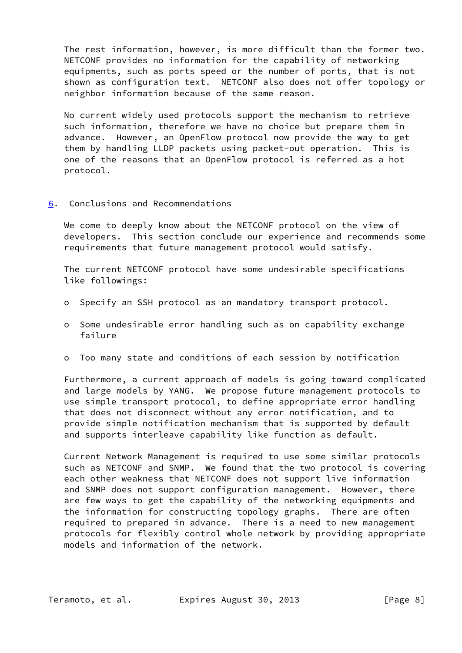The rest information, however, is more difficult than the former two. NETCONF provides no information for the capability of networking equipments, such as ports speed or the number of ports, that is not shown as configuration text. NETCONF also does not offer topology or neighbor information because of the same reason.

 No current widely used protocols support the mechanism to retrieve such information, therefore we have no choice but prepare them in advance. However, an OpenFlow protocol now provide the way to get them by handling LLDP packets using packet-out operation. This is one of the reasons that an OpenFlow protocol is referred as a hot protocol.

<span id="page-8-0"></span>[6](#page-8-0). Conclusions and Recommendations

 We come to deeply know about the NETCONF protocol on the view of developers. This section conclude our experience and recommends some requirements that future management protocol would satisfy.

 The current NETCONF protocol have some undesirable specifications like followings:

- o Specify an SSH protocol as an mandatory transport protocol.
- o Some undesirable error handling such as on capability exchange failure
- o Too many state and conditions of each session by notification

 Furthermore, a current approach of models is going toward complicated and large models by YANG. We propose future management protocols to use simple transport protocol, to define appropriate error handling that does not disconnect without any error notification, and to provide simple notification mechanism that is supported by default and supports interleave capability like function as default.

 Current Network Management is required to use some similar protocols such as NETCONF and SNMP. We found that the two protocol is covering each other weakness that NETCONF does not support live information and SNMP does not support configuration management. However, there are few ways to get the capability of the networking equipments and the information for constructing topology graphs. There are often required to prepared in advance. There is a need to new management protocols for flexibly control whole network by providing appropriate models and information of the network.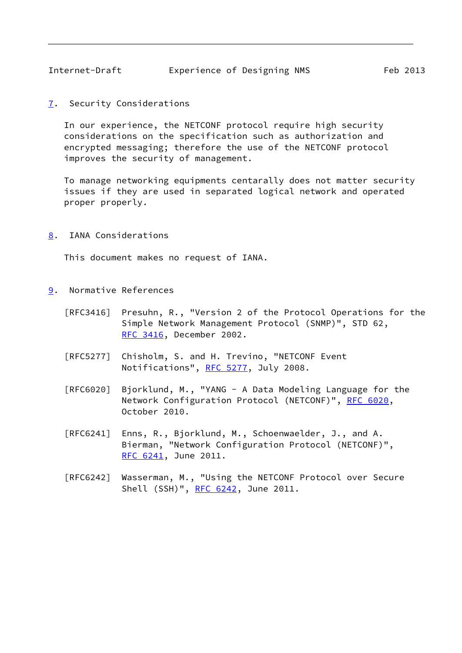<span id="page-9-1"></span><span id="page-9-0"></span>[7](#page-9-0). Security Considerations

 In our experience, the NETCONF protocol require high security considerations on the specification such as authorization and encrypted messaging; therefore the use of the NETCONF protocol improves the security of management.

 To manage networking equipments centarally does not matter security issues if they are used in separated logical network and operated proper properly.

<span id="page-9-2"></span>[8](#page-9-2). IANA Considerations

This document makes no request of IANA.

- <span id="page-9-3"></span>[9](#page-9-3). Normative References
	- [RFC3416] Presuhn, R., "Version 2 of the Protocol Operations for the Simple Network Management Protocol (SNMP)", STD 62, [RFC 3416,](https://datatracker.ietf.org/doc/pdf/rfc3416) December 2002.
	- [RFC5277] Chisholm, S. and H. Trevino, "NETCONF Event Notifications", [RFC 5277,](https://datatracker.ietf.org/doc/pdf/rfc5277) July 2008.
	- [RFC6020] Bjorklund, M., "YANG A Data Modeling Language for the Network Configuration Protocol (NETCONF)", [RFC 6020](https://datatracker.ietf.org/doc/pdf/rfc6020), October 2010.
	- [RFC6241] Enns, R., Bjorklund, M., Schoenwaelder, J., and A. Bierman, "Network Configuration Protocol (NETCONF)", [RFC 6241,](https://datatracker.ietf.org/doc/pdf/rfc6241) June 2011.
	- [RFC6242] Wasserman, M., "Using the NETCONF Protocol over Secure Shell (SSH)", [RFC 6242](https://datatracker.ietf.org/doc/pdf/rfc6242), June 2011.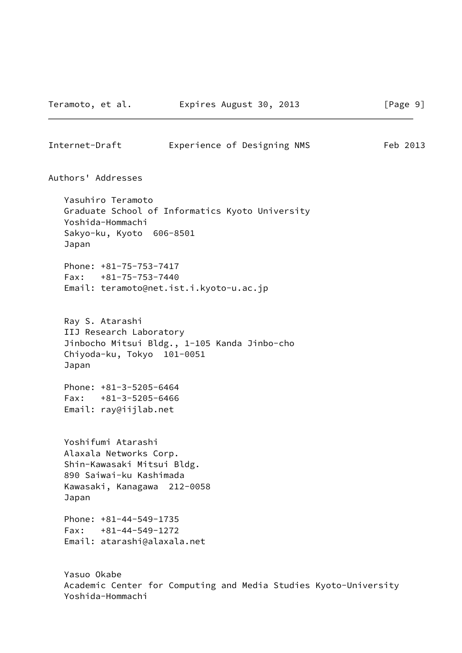Internet-Draft Experience of Designing NMS Feb 2013

Authors' Addresses

 Yasuhiro Teramoto Graduate School of Informatics Kyoto University Yoshida-Hommachi Sakyo-ku, Kyoto 606-8501 Japan

 Phone: +81-75-753-7417 Fax: +81-75-753-7440 Email: teramoto@net.ist.i.kyoto-u.ac.jp

 Ray S. Atarashi IIJ Research Laboratory Jinbocho Mitsui Bldg., 1-105 Kanda Jinbo-cho Chiyoda-ku, Tokyo 101-0051 Japan

 Phone: +81-3-5205-6464 Fax: +81-3-5205-6466 Email: ray@iijlab.net

 Yoshifumi Atarashi Alaxala Networks Corp. Shin-Kawasaki Mitsui Bldg. 890 Saiwai-ku Kashimada Kawasaki, Kanagawa 212-0058 Japan

 Phone: +81-44-549-1735 Fax: +81-44-549-1272 Email: atarashi@alaxala.net

 Yasuo Okabe Academic Center for Computing and Media Studies Kyoto-University Yoshida-Hommachi